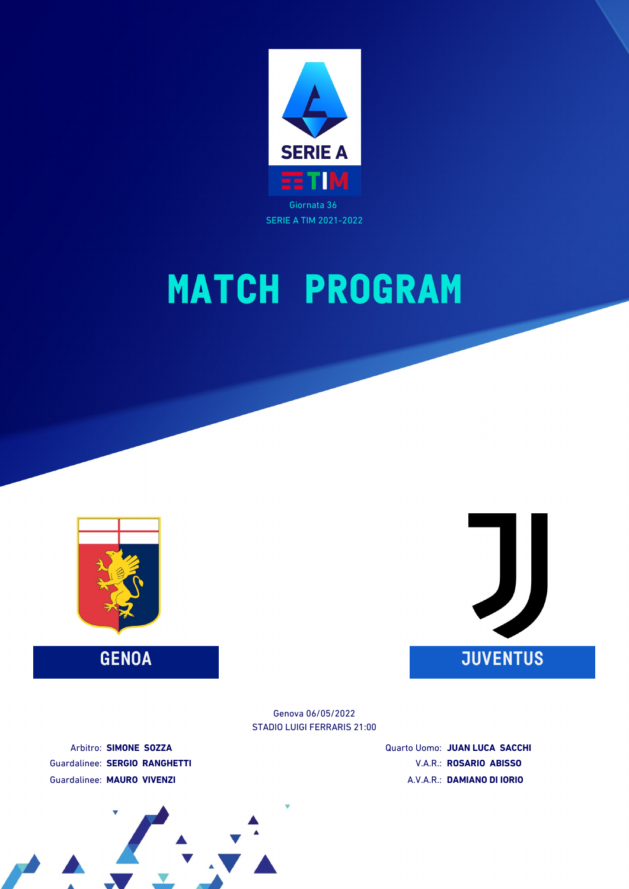

SERIE A TIM 2021-2022

# **MATCH PROGRAM**





STADIO LUIGI FERRARIS 21:00 Genova 06/05/2022

Arbitro: **SIMONE SOZZA** Guardalinee: **SERGIO RANGHETTI** Guardalinee: **MAURO VIVENZI**

Quarto Uomo: **JUAN LUCA SACCHI** V.A.R.: **ROSARIO ABISSO** A.V.A.R.: **DAMIANO DI IORIO**

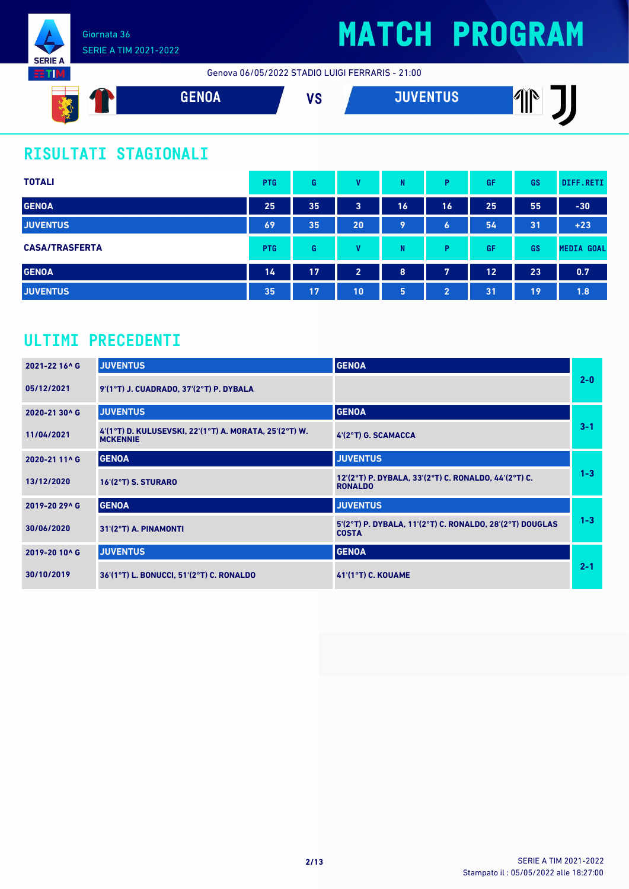

Genova 06/05/2022 STADIO LUIGI FERRARIS - 21:00



### **RISULTATI STAGIONALI**

| <b>TOTALI</b>         | <b>PTG</b> | G  | v              | N  | Þ                     | GF | GS | DIFF.RETI         |
|-----------------------|------------|----|----------------|----|-----------------------|----|----|-------------------|
| <b>GENOA</b>          | 25         | 35 | 3              | 16 | 16                    | 25 | 55 | $-30$             |
| <b>JUVENTUS</b>       | 69         | 35 | 20             | 9  | $\boldsymbol{6}$      | 54 | 31 | $+23$             |
| <b>CASA/TRASFERTA</b> | <b>PTG</b> | G  | v              | N  | D                     | GF | GS | <b>MEDIA GOAL</b> |
| <b>GENOA</b>          | 14         | 17 | $\overline{2}$ | 8  | 7                     | 12 | 23 | 0.7               |
| <b>JUVENTUS</b>       | 35         | 17 | 10             | 5  | $\mathbf{2}^{\prime}$ | 31 | 19 | 1.8               |

### **ULTIMI PRECEDENTI**

| 2021-22 16^ G | <b>JUVENTUS</b>                                                           | <b>GENOA</b>                                                             |         |
|---------------|---------------------------------------------------------------------------|--------------------------------------------------------------------------|---------|
| 05/12/2021    | 9'(1°T) J. CUADRADO, 37'(2°T) P. DYBALA                                   |                                                                          | $2 - 0$ |
| 2020-21 30^ G | <b>JUVENTUS</b>                                                           | <b>GENOA</b>                                                             |         |
| 11/04/2021    | 4'(1°T) D. KULUSEVSKI, 22'(1°T) A. MORATA, 25'(2°T) W.<br><b>MCKENNIE</b> | 4'(2°T) G. SCAMACCA                                                      | $3 - 1$ |
| 2020-21 11^ G | <b>GENOA</b>                                                              | <b>JUVENTUS</b>                                                          |         |
| 13/12/2020    | 16'(2°T) S. STURARO                                                       | 12'(2°T) P. DYBALA, 33'(2°T) C. RONALDO, 44'(2°T) C.<br><b>RONALDO</b>   | $1 - 3$ |
| 2019-20 29^ G | <b>GENOA</b>                                                              | <b>JUVENTUS</b>                                                          |         |
| 30/06/2020    | 31'(2°T) A. PINAMONTI                                                     | 5'(2°T) P. DYBALA, 11'(2°T) C. RONALDO, 28'(2°T) DOUGLAS<br><b>COSTA</b> | $1 - 3$ |
| 2019-20 10^ G | <b>JUVENTUS</b>                                                           | <b>GENOA</b>                                                             |         |
| 30/10/2019    | 36'(1°T) L. BONUCCI, 51'(2°T) C. RONALDO                                  | <b>41'(1°T) C. KOUAME</b>                                                | $2 - 1$ |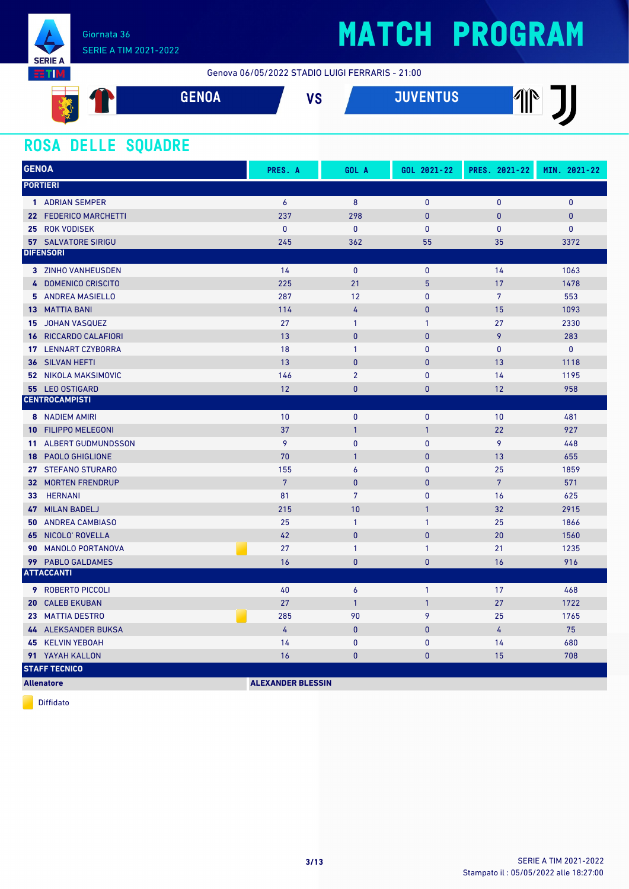

### SERIE A TIM 2021-2022

# **MATCH PROGRAM**

Genova 06/05/2022 STADIO LUIGI FERRARIS - 21:00



#### **ROSA DELLE SQUADRE**

| <b>GENOA</b>                      | PRES. A        | GOL A            | GOL 2021-22  | PRES. 2021-22   | MIN. 2021-22 |
|-----------------------------------|----------------|------------------|--------------|-----------------|--------------|
| <b>PORTIERI</b>                   |                |                  |              |                 |              |
| 1 ADRIAN SEMPER                   | $\overline{6}$ | 8                | 0            | 0               | $\mathbf{0}$ |
| 22 FEDERICO MARCHETTI             | 237            | 298              | $\mathbf{0}$ | 0               | $\mathbf{0}$ |
| 25 ROK VODISEK                    | $\mathbf{0}$   | 0                | 0            | 0               | $\mathbf 0$  |
| <b>57 SALVATORE SIRIGU</b>        | 245            | 362              | 55           | 35              | 3372         |
| <b>DIFENSORI</b>                  |                |                  |              |                 |              |
| 3 ZINHO VANHEUSDEN                | 14             | $\mathbf{0}$     | $\mathbf{0}$ | 14              | 1063         |
| 4 DOMENICO CRISCITO               | 225            | 21               | 5            | 17              | 1478         |
| 5 ANDREA MASIELLO                 | 287            | 12               | 0            | $7\overline{ }$ | 553          |
| <b>13 MATTIA BANI</b>             | 114            | $\overline{4}$   | $\mathbf{0}$ | 15              | 1093         |
| JOHAN VASQUEZ<br>15               | 27             | $\mathbf{1}$     | $\mathbf{1}$ | 27              | 2330         |
| <b>16 RICCARDO CALAFIORI</b>      | 13             | $\mathbf{0}$     | $\mathbf{0}$ | 9               | 283          |
| <b>17 LENNART CZYBORRA</b>        | 18             | $\mathbf{1}$     | $\mathbf{0}$ | $\mathbf{0}$    | $\mathbf{0}$ |
| <b>36 SILVAN HEFTI</b>            | 13             | $\mathbf{0}$     | $\mathbf{0}$ | 13              | 1118         |
| <b>52 NIKOLA MAKSIMOVIC</b>       | 146            | $\overline{2}$   | $\mathbf{0}$ | 14              | 1195         |
| 55 LEO OSTIGARD                   | 12             | $\mathbf{0}$     | $\mathbf{0}$ | 12              | 958          |
| <b>CENTROCAMPISTI</b>             |                |                  |              |                 |              |
| <b>8</b> NADIEM AMIRI             | 10             | $\mathbf{0}$     | 0            | 10              | 481          |
| 10 FILIPPO MELEGONI               | 37             | $\overline{1}$   | $\mathbf{1}$ | 22              | 927          |
| <b>11 ALBERT GUDMUNDSSON</b>      | 9              | $\mathbf{0}$     | $\mathbf{0}$ | 9               | 448          |
| 18 PAOLO GHIGLIONE                | 70             | $\mathbf{1}$     | $\mathbf{0}$ | 13              | 655          |
| 27 STEFANO STURARO                | 155            | $\boldsymbol{6}$ | 0            | 25              | 1859         |
| <b>32 MORTEN FRENDRUP</b>         | $\overline{7}$ | $\mathbf{0}$     | $\pmb{0}$    | $\overline{7}$  | 571          |
| <b>HERNANI</b><br>33 <sup>2</sup> | 81             | $7\overline{ }$  | $\mathbf{0}$ | 16              | 625          |
| <b>MILAN BADELJ</b><br>47         | 215            | 10               | $\mathbf{1}$ | 32              | 2915         |
| <b>50 ANDREA CAMBIASO</b>         | 25             | $\mathbf{1}$     | $\mathbf{1}$ | 25              | 1866         |
| 65 NICOLO' ROVELLA                | 42             | $\mathbf{0}$     | $\mathbf{0}$ | 20              | 1560         |
| 90 MANOLO PORTANOVA               | 27             | $\mathbf{1}$     | $\mathbf{1}$ | 21              | 1235         |
| 99 PABLO GALDAMES                 | 16             | $\bf{0}$         | $\mathbf{0}$ | 16              | 916          |
| <b>ATTACCANTI</b>                 |                |                  |              |                 |              |
| <b>9 ROBERTO PICCOLI</b>          | 40             | $\overline{6}$   | $\mathbf{1}$ | 17              | 468          |
| <b>CALEB EKUBAN</b><br>20         | 27             | $\mathbf{1}$     | $\mathbf{1}$ | 27              | 1722         |
| 23 MATTIA DESTRO                  | 285            | 90               | 9            | 25              | 1765         |
| 44 ALEKSANDER BUKSA               | $\overline{4}$ | $\pmb{0}$        | $\mathbf{0}$ | $\overline{4}$  | 75           |
| 45 KELVIN YEBOAH                  | 14             | $\bf{0}$         | $\bf{0}$     | 14              | 680          |
| 91 YAYAH KALLON                   | 16             | $\bf{0}$         | $\bf{0}$     | 15              | 708          |
| <b>STAFF TECNICO</b>              |                |                  |              |                 |              |

**Allenatore ALEXANDER BLESSIN**

Diffidato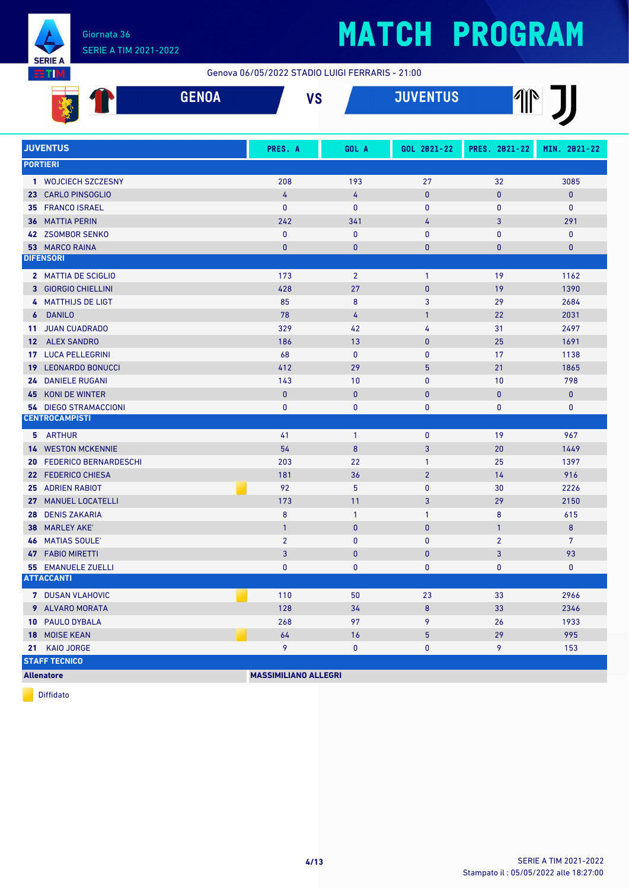

# **MATCH PROGRAM**

Genova 06/05/2022 STADIO LUIGI FERRARIS - 21:00

|                 | <b>GENOA</b>                 | <b>VS</b>                   |                | <b>JUVENTUS</b> | $\mathbb{P}$   |              |
|-----------------|------------------------------|-----------------------------|----------------|-----------------|----------------|--------------|
|                 | <b>JUVENTUS</b>              | PRES. A                     | GOL A          | GOL 2021-22     | PRES. 2021-22  | MIN. 2021-22 |
|                 | <b>PORTIERI</b>              |                             |                |                 |                |              |
|                 | 1 WOJCIECH SZCZESNY          | 208                         | 193            | 27              | 32             | 3085         |
|                 | 23 CARLO PINSOGLIO           | 4                           | 4              | $\mathbf 0$     | $\pmb{0}$      | $\pmb{0}$    |
|                 | 35 FRANCO ISRAEL             | $\mathbf{0}$                | $\bf{0}$       | $\mathbf 0$     | $\mathbf{0}$   | 0            |
|                 | <b>36 MATTIA PERIN</b>       | 242                         | 341            | 4               | 3              | 291          |
|                 | 42 ZSOMBOR SENKO             | $\mathbf{0}$                | $\mathbf{0}$   | $\mathbf{0}$    | $\mathbf{0}$   | 0            |
|                 | 53 MARCO RAINA               | $\bf{0}$                    | $\bf{0}$       | $\bf{0}$        | $\bf{0}$       | 0            |
|                 | <b>DIFENSORI</b>             |                             |                |                 |                |              |
|                 | 2 MATTIA DE SCIGLIO          | 173                         | $\overline{2}$ | $\mathbf{1}$    | 19             | 1162         |
|                 | 3 GIORGIO CHIELLINI          | 428                         | 27             | $\mathbf{0}$    | 19             | 1390         |
|                 | 4 MATTHIJS DE LIGT           | 85                          | $\bf 8$        | 3               | 29             | 2684         |
| 6               | <b>DANILO</b>                | 78                          | 4              | $\mathbf{1}$    | 22             | 2031         |
| 11 <sup>1</sup> | <b>JUAN CUADRADO</b>         | 329                         | 42             | 4               | 31             | 2497         |
| 12 <sup>2</sup> | <b>ALEX SANDRO</b>           | 186                         | 13             | $\mathbf{0}$    | 25             | 1691         |
| 17              | <b>LUCA PELLEGRINI</b>       | 68                          | $\mathbf{0}$   | $\mathbf{0}$    | 17             | 1138         |
| 19 <sup>°</sup> | <b>LEONARDO BONUCCI</b>      | 412                         | 29             | 5               | 21             | 1865         |
| 24              | <b>DANIELE RUGANI</b>        | 143                         | 10             | $\mathbf{0}$    | 10             | 798          |
| 45              | <b>KONI DE WINTER</b>        | $\pmb{0}$                   | $\mathbf{0}$   | $\mathbf{0}$    | $\bf{0}$       | $\bf{0}$     |
| 54.             | <b>DIEGO STRAMACCIONI</b>    | $\pmb{0}$                   | $\bf{0}$       | 0               | 0              | 0            |
|                 | <b>CENTROCAMPISTI</b>        |                             |                |                 |                |              |
| 5.              | <b>ARTHUR</b>                | 41                          | $\mathbf{1}$   | $\mathbf 0$     | 19             | 967          |
| 14 <sup>1</sup> | <b>WESTON MCKENNIE</b>       | 54                          | 8              | 3               | 20             | 1449         |
| 20              | <b>FEDERICO BERNARDESCHI</b> | 203                         | 22             | $\mathbf{1}$    | 25             | 1397         |
|                 | 22 FEDERICO CHIESA           | 181                         | 36             | $\overline{2}$  | 14             | 916          |
|                 | 25 ADRIEN RABIOT             | 92                          | 5              | $\mathbf 0$     | 30             | 2226         |
| 27              | <b>MANUEL LOCATELLI</b>      | 173                         | 11             | 3               | 29             | 2150         |
| 28              | <b>DENIS ZAKARIA</b>         | 8                           | $\mathbf{1}$   | $\mathbf{1}$    | 8              | 615          |
| 38              | <b>MARLEY AKE</b>            | $\mathbf{1}$                | $\mathbf{0}$   | $\mathbf{0}$    | $\mathbf{1}$   | 8            |
|                 | <b>46 MATIAS SOULE'</b>      | $\overline{2}$              | 0              | 0               | $\overline{2}$ | 7            |
|                 | 47 FABIO MIRETTI             | 3 <sup>1</sup>              | $\mathbf 0$    | $\pmb{0}$       | $\mathbf{3}$   | 93           |
|                 | <b>55 EMANUELE ZUELLI</b>    | 0                           | 0              | 0               | 0              | 0            |
|                 | <b>ATTACCANTI</b>            |                             |                |                 |                |              |
|                 | 7 DUSAN VLAHOVIC             | 110                         | 50             | 23              | 33             | 2966         |
|                 | 9 ALVARO MORATA              | 128                         | 34             | 8               | 33             | 2346         |
|                 | 10 PAULO DYBALA              | 268                         | 97             | 9               | 26             | 1933         |
|                 | 18 MOISE KEAN                | 64                          | 16             | $\overline{5}$  | 29             | 995          |
|                 | 21 KAIO JORGE                | 9                           | $\pmb{0}$      | 0               | 9              | 153          |
|                 | <b>STAFF TECNICO</b>         |                             |                |                 |                |              |
|                 | <b>Allenatore</b>            | <b>MASSIMILIANO ALLEGRI</b> |                |                 |                |              |

Diffidato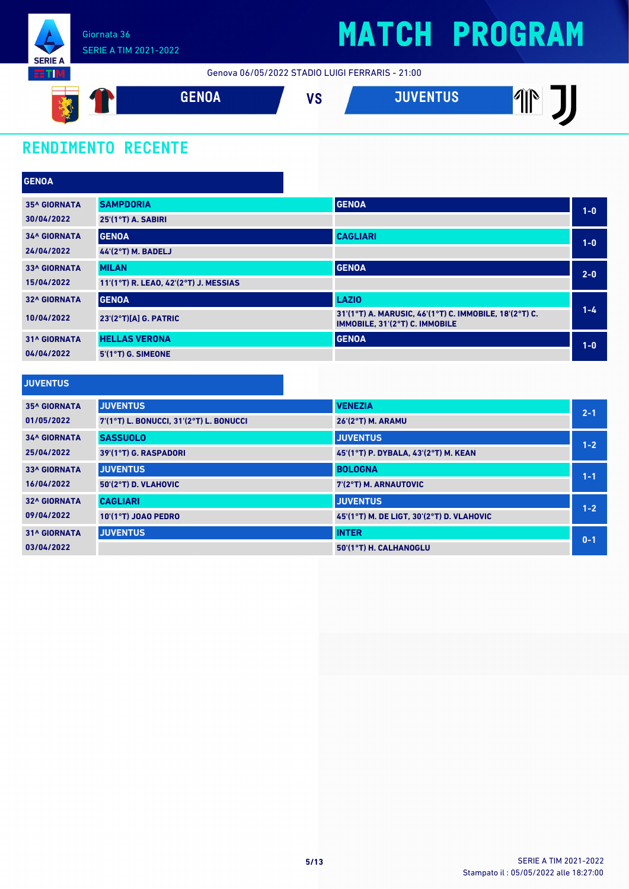

Genova 06/05/2022 STADIO LUIGI FERRARIS - 21:00



### **RENDIMENTO RECENTE**

| <b>GENOA</b>                             |                                       |                                                                                          |         |
|------------------------------------------|---------------------------------------|------------------------------------------------------------------------------------------|---------|
| <b>35^ GIORNATA</b>                      | <b>SAMPDORIA</b>                      | <b>GENOA</b>                                                                             | $1-0$   |
| 30/04/2022                               | 25'(1°T) A. SABIRI                    |                                                                                          |         |
| <b>34^ GIORNATA</b>                      | <b>GENOA</b>                          | <b>CAGLIARI</b>                                                                          | $1-0$   |
| 24/04/2022                               | <b>44'(2°T) M. BADELJ</b>             |                                                                                          |         |
| <b>33^ GIORNATA</b>                      | <b>MILAN</b>                          | <b>GENOA</b>                                                                             | $2 - 0$ |
| 15/04/2022                               | 11'(1°T) R. LEAO, 42'(2°T) J. MESSIAS |                                                                                          |         |
| <b>32^ GIORNATA</b>                      | <b>GENOA</b>                          | <b>LAZIO</b>                                                                             |         |
| 10/04/2022                               | $23'(2°T)[A]$ G. PATRIC               | 31'(1°T) A. MARUSIC, 46'(1°T) C. IMMOBILE, 18'(2°T) C.<br>IMMOBILE, 31'(2°T) C. IMMOBILE | $1 - 4$ |
| <b>31^ GIORNATA</b>                      | <b>HELLAS VERONA</b>                  | <b>GENOA</b>                                                                             | $1-0$   |
| 04/04/2022                               | 5'(1°T) G. SIMEONE                    |                                                                                          |         |
|                                          |                                       |                                                                                          |         |
| <b><i>A R. P. LEWIS CO., LANSING</i></b> |                                       |                                                                                          |         |

#### **JUVENTUS**

| <b>35^ GIORNATA</b> | <b>JUVENTUS</b>                         | <b>VENEZIA</b>                            | $2 - 1$ |
|---------------------|-----------------------------------------|-------------------------------------------|---------|
| 01/05/2022          | 7'(1°T) L. BONUCCI, 31'(2°T) L. BONUCCI | <b>26'(2°T) M. ARAMU</b>                  |         |
| <b>34^ GIORNATA</b> | <b>SASSUOLO</b>                         | <b>JUVENTUS</b>                           | $1 - 2$ |
| 25/04/2022          | 39'(1°T) G. RASPADORI                   | 45 (1°T) P. DYBALA, 43 (2°T) M. KEAN      |         |
| <b>33^ GIORNATA</b> | <b>JUVENTUS</b>                         | <b>BOLOGNA</b>                            | $1 - 1$ |
| 16/04/2022          | 50'(2°T) D. VLAHOVIC                    | 7'(2°T) M. ARNAUTOVIC                     |         |
| <b>32^ GIORNATA</b> | <b>CAGLIARI</b>                         | <b>JUVENTUS</b>                           | $1 - 2$ |
| 09/04/2022          | 10'(1°T) JOAO PEDRO                     | 45'(1°T) M. DE LIGT, 30'(2°T) D. VLAHOVIC |         |
| <b>31^ GIORNATA</b> | <b>JUVENTUS</b>                         | <b>INTER</b>                              | $0 - 1$ |
| 03/04/2022          |                                         | 50'(1°T) H. CALHANOGLU                    |         |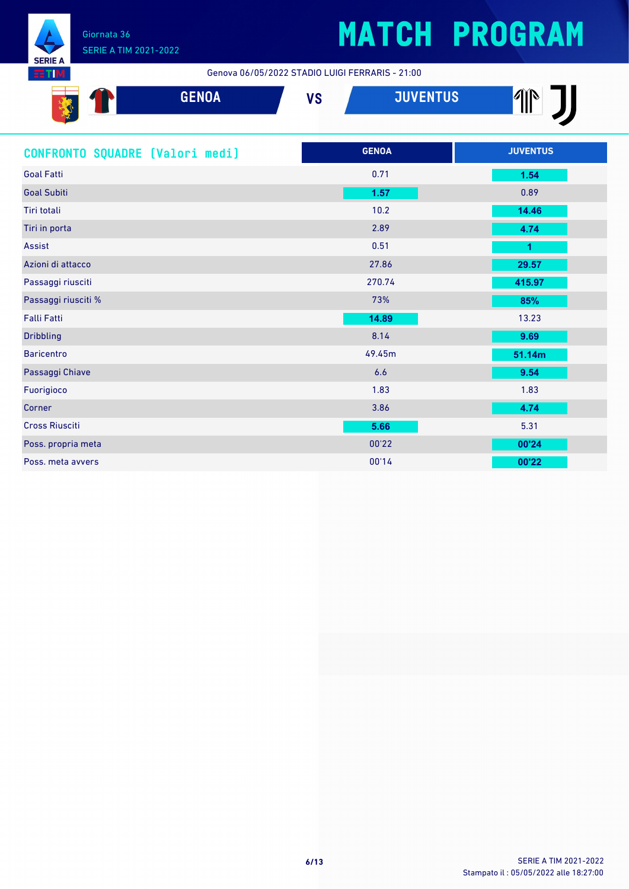

Genova 06/05/2022 STADIO LUIGI FERRARIS - 21:00

| <b>GENOA</b>                    | <b>VS</b> | <b>JUVENTUS</b> | <b>11</b>       |  |
|---------------------------------|-----------|-----------------|-----------------|--|
| CONFRONTO SQUADRE (Valori medi) |           | <b>GENOA</b>    | <b>JUVENTUS</b> |  |
| <b>Goal Fatti</b>               |           | 0.71            | 1.54            |  |
| <b>Goal Subiti</b>              |           | 1.57            | 0.89            |  |
| Tiri totali                     |           | 10.2            | 14.46           |  |
| Tiri in porta                   |           | 2.89            | 4.74            |  |
| <b>Assist</b>                   |           | 0.51            | $\overline{1}$  |  |
| Azioni di attacco               |           | 27.86           | 29.57           |  |
| Passaggi riusciti               |           | 270.74          | 415.97          |  |
| Passaggi riusciti %             |           | 73%             | 85%             |  |
| <b>Falli Fatti</b>              |           | 14.89           | 13.23           |  |
| <b>Dribbling</b>                |           | 8.14            | 9.69            |  |
| <b>Baricentro</b>               |           | 49.45m          | 51.14m          |  |
| Passaggi Chiave                 |           | 6.6             | 9.54            |  |
| Fuorigioco                      |           | 1.83            | 1.83            |  |
| Corner                          |           | 3.86            | 4.74            |  |
| <b>Cross Riusciti</b>           |           | 5.66            | 5.31            |  |
| Poss. propria meta              |           | 00'22           | 00'24           |  |
| Poss. meta avvers               |           | 00'14           | 00'22           |  |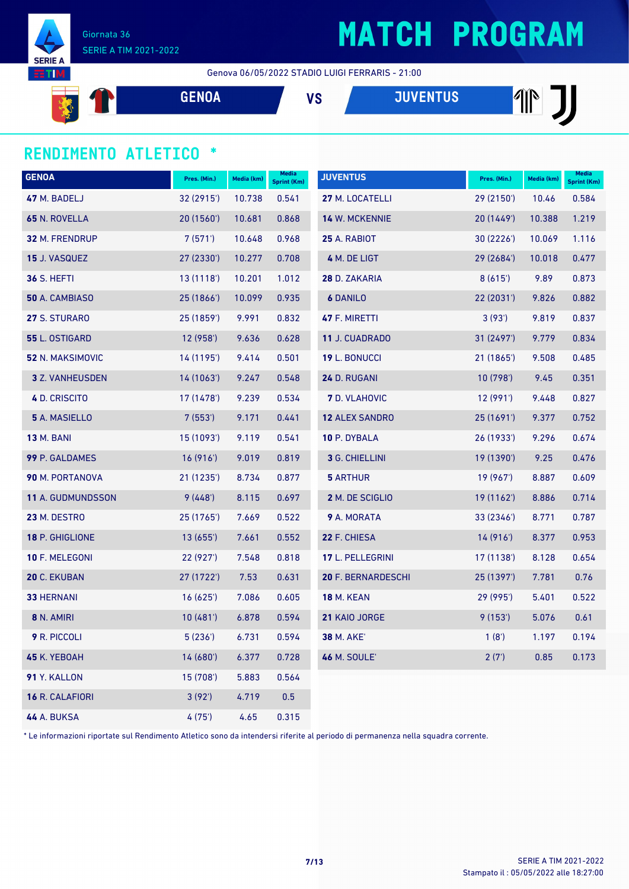

**SERIE** TI

#### Genova 06/05/2022 STADIO LUIGI FERRARIS - 21:00

**GENOA VS JUVENTUS**

#### **RENDIMENTO ATLETICO \***

| <b>GENOA</b>             | Pres. (Min.) | Media (km) | Media<br><b>Sprint (Km)</b> | <b>JUVENTUS</b>       | Pres. (Min.) | Media (km) | Media<br><b>Sprint (Km)</b> |
|--------------------------|--------------|------------|-----------------------------|-----------------------|--------------|------------|-----------------------------|
| 47 M. BADELJ             | 32 (2915')   | 10.738     | 0.541                       | 27 M. LOCATELLI       | 29 (2150')   | 10.46      | 0.584                       |
| 65 N. ROVELLA            | 20 (1560')   | 10.681     | 0.868                       | <b>14 W. MCKENNIE</b> | 20 (1449')   | 10.388     | 1.219                       |
| <b>32 M. FRENDRUP</b>    | 7(571)       | 10.648     | 0.968                       | <b>25 A. RABIOT</b>   | 30 (2226')   | 10.069     | 1.116                       |
| <b>15 J. VASQUEZ</b>     | 27 (2330')   | 10.277     | 0.708                       | 4 M. DE LIGT          | 29 (2684')   | 10.018     | 0.477                       |
| <b>36 S. HEFTI</b>       | 13 (1118')   | 10.201     | 1.012                       | 28 D. ZAKARIA         | 8(615)       | 9.89       | 0.873                       |
| 50 A. CAMBIASO           | 25 (1866')   | 10.099     | 0.935                       | <b>6 DANILO</b>       | 22 (2031')   | 9.826      | 0.882                       |
| 27 S. STURARO            | 25 (1859')   | 9.991      | 0.832                       | 47 F. MIRETTI         | 3(93')       | 9.819      | 0.837                       |
| 55 L. OSTIGARD           | 12(958)      | 9.636      | 0.628                       | 11 J. CUADRADO        | 31 (2497')   | 9.779      | 0.834                       |
| 52 N. MAKSIMOVIC         | 14 (1195')   | 9.414      | 0.501                       | 19 L. BONUCCI         | 21 (1865')   | 9.508      | 0.485                       |
| <b>3</b> Z. VANHEUSDEN   | 14(1063)     | 9.247      | 0.548                       | 24 D. RUGANI          | 10(798)      | 9.45       | 0.351                       |
| 4 D. CRISCITO            | 17 (1478')   | 9.239      | 0.534                       | <b>7</b> D. VLAHOVIC  | 12(991)      | 9.448      | 0.827                       |
| 5 A. MASIELLO            | 7(553)       | 9.171      | 0.441                       | <b>12 ALEX SANDRO</b> | 25 (1691')   | 9.377      | 0.752                       |
| <b>13 M. BANI</b>        | 15 (1093')   | 9.119      | 0.541                       | 10 P. DYBALA          | 26 (1933')   | 9.296      | 0.674                       |
| 99 P. GALDAMES           | 16 (916')    | 9.019      | 0.819                       | 3 G. CHIELLINI        | 19 (1390')   | 9.25       | 0.476                       |
| 90 M. PORTANOVA          | 21 (1235')   | 8.734      | 0.877                       | <b>5 ARTHUR</b>       | 19 (967')    | 8.887      | 0.609                       |
| <b>11 A. GUDMUNDSSON</b> | 9(448)       | 8.115      | 0.697                       | 2 M. DE SCIGLIO       | 19(1162)     | 8.886      | 0.714                       |
| <b>23 M. DESTRO</b>      | 25 (1765')   | 7.669      | 0.522                       | <b>9</b> A. MORATA    | 33 (2346')   | 8.771      | 0.787                       |
| 18 P. GHIGLIONE          | 13(655)      | 7.661      | 0.552                       | 22 F. CHIESA          | 14(916)      | 8.377      | 0.953                       |
| 10 F. MELEGONI           | 22 (927')    | 7.548      | 0.818                       | 17 L. PELLEGRINI      | 17 (1138')   | 8.128      | 0.654                       |
| 20 C. EKUBAN             | 27 (1722')   | 7.53       | 0.631                       | 20 F. BERNARDESCHI    | 25 (1397')   | 7.781      | 0.76                        |
| <b>33 HERNANI</b>        | 16(625)      | 7.086      | 0.605                       | <b>18 M. KEAN</b>     | 29 (995')    | 5.401      | 0.522                       |
| 8 N. AMIRI               | 10(481)      | 6.878      | 0.594                       | 21 KAIO JORGE         | 9(153)       | 5.076      | 0.61                        |
| 9 R. PICCOLI             | 5(236)       | 6.731      | 0.594                       | <b>38 M. AKE'</b>     | 1(8')        | 1.197      | 0.194                       |
| 45 K. YEBOAH             | 14 (680')    | 6.377      | 0.728                       | <b>46 M. SOULE'</b>   | 2(7)         | 0.85       | 0.173                       |
| 91 Y. KALLON             | 15 (708')    | 5.883      | 0.564                       |                       |              |            |                             |
| 16 R. CALAFIORI          | 3(92)        | 4.719      | 0.5                         |                       |              |            |                             |
| <b>44 A. BUKSA</b>       | 4 (75')      | 4.65       | 0.315                       |                       |              |            |                             |

\* Le informazioni riportate sul Rendimento Atletico sono da intendersi riferite al periodo di permanenza nella squadra corrente.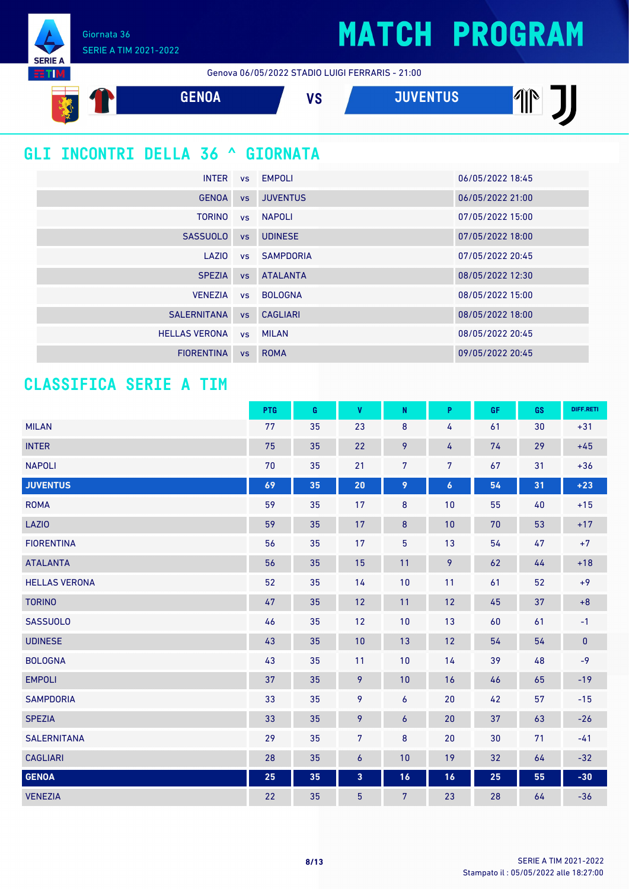Giornata 36 SERIE A TIM 2021-2022

**SERIE A BTIM** 

Genova 06/05/2022 STADIO LUIGI FERRARIS - 21:00



### **GLI INCONTRI DELLA 36 ^ GIORNATA**

| <b>INTER</b>         |           | vs EMPOLI           | 06/05/2022 18:45 |
|----------------------|-----------|---------------------|------------------|
| <b>GENOA</b>         | <b>VS</b> | <b>JUVENTUS</b>     | 06/05/2022 21:00 |
| <b>TORINO</b>        |           | vs NAPOLI           | 07/05/2022 15:00 |
| <b>SASSUOLO</b>      | <b>VS</b> | <b>UDINESE</b>      | 07/05/2022 18:00 |
| LAZIO                |           | <b>vs</b> SAMPDORIA | 07/05/2022 20:45 |
| <b>SPEZIA</b>        | <b>VS</b> | <b>ATALANTA</b>     | 08/05/2022 12:30 |
| <b>VENEZIA</b>       |           | vs BOLOGNA          | 08/05/2022 15:00 |
| <b>SALERNITANA</b>   | <b>VS</b> | <b>CAGLIARI</b>     | 08/05/2022 18:00 |
| <b>HELLAS VERONA</b> |           | vs MILAN            | 08/05/2022 20:45 |
| <b>FIORENTINA</b>    | <b>VS</b> | <b>ROMA</b>         | 09/05/2022 20:45 |

#### **CLASSIFICA SERIE A TIM**

|                      | <b>PTG</b> | G  | <b>V</b>                | ${\sf N}$      | P                | GF. | GS | DIFF.RETI |
|----------------------|------------|----|-------------------------|----------------|------------------|-----|----|-----------|
| <b>MILAN</b>         | 77         | 35 | 23                      | $\bf 8$        | 4                | 61  | 30 | $+31$     |
| <b>INTER</b>         | 75         | 35 | 22                      | 9              | 4                | 74  | 29 | $+45$     |
| <b>NAPOLI</b>        | 70         | 35 | 21                      | $\overline{7}$ | $\overline{7}$   | 67  | 31 | $+36$     |
| <b>JUVENTUS</b>      | 69         | 35 | 20                      | 9              | $\boldsymbol{6}$ | 54  | 31 | $+23$     |
| <b>ROMA</b>          | 59         | 35 | 17                      | 8              | 10               | 55  | 40 | $+15$     |
| LAZIO                | 59         | 35 | 17                      | $\bf 8$        | 10               | 70  | 53 | $+17$     |
| <b>FIORENTINA</b>    | 56         | 35 | 17                      | 5              | 13               | 54  | 47 | $+7$      |
| <b>ATALANTA</b>      | 56         | 35 | 15                      | 11             | 9                | 62  | 44 | $+18$     |
| <b>HELLAS VERONA</b> | 52         | 35 | 14                      | 10             | 11               | 61  | 52 | $+9$      |
| <b>TORINO</b>        | 47         | 35 | 12                      | 11             | 12               | 45  | 37 | $+8$      |
| <b>SASSUOLO</b>      | 46         | 35 | 12                      | 10             | 13               | 60  | 61 | $-1$      |
| <b>UDINESE</b>       | 43         | 35 | 10                      | 13             | 12               | 54  | 54 | $\pmb{0}$ |
| <b>BOLOGNA</b>       | 43         | 35 | 11                      | 10             | 14               | 39  | 48 | $-9$      |
| <b>EMPOLI</b>        | 37         | 35 | 9                       | 10             | 16               | 46  | 65 | $-19$     |
| <b>SAMPDORIA</b>     | 33         | 35 | 9                       | 6              | 20               | 42  | 57 | $-15$     |
| <b>SPEZIA</b>        | 33         | 35 | 9                       | 6              | 20               | 37  | 63 | $-26$     |
| <b>SALERNITANA</b>   | 29         | 35 | $\overline{7}$          | 8              | 20               | 30  | 71 | $-41$     |
| <b>CAGLIARI</b>      | 28         | 35 | $\boldsymbol{6}$        | 10             | 19               | 32  | 64 | $-32$     |
| <b>GENOA</b>         | 25         | 35 | $\overline{\mathbf{3}}$ | 16             | 16               | 25  | 55 | $-30$     |
| <b>VENEZIA</b>       | 22         | 35 | $\overline{5}$          | $\overline{7}$ | 23               | 28  | 64 | $-36$     |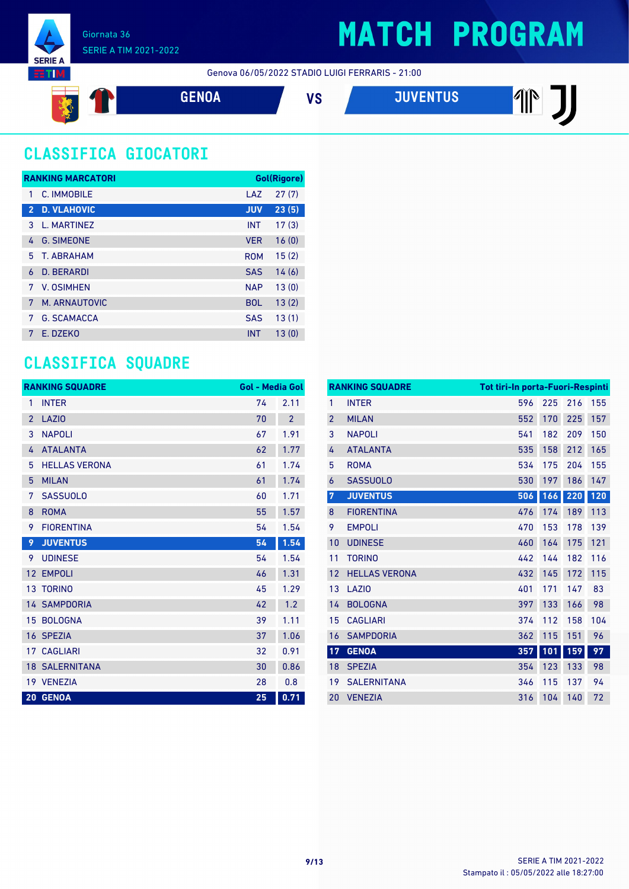

Genova 06/05/2022 STADIO LUIGI FERRARIS - 21:00



### **CLASSIFICA GIOCATORI**

|                | <b>RANKING MARCATORI</b> |            | Gol(Rigore) |
|----------------|--------------------------|------------|-------------|
| 1              | C. IMMOBILE              | LAZ        | 27(7)       |
| $\overline{2}$ | <b>D. VLAHOVIC</b>       | <b>JUV</b> | 23(5)       |
| 3              | L. MARTINEZ              | <b>INT</b> | 17(3)       |
| 4              | <b>G. SIMEONE</b>        | <b>VER</b> | 16(0)       |
| 5              | T. ARRAHAM               | <b>ROM</b> | 15(2)       |
| 6              | D. BERARDI               | <b>SAS</b> | 14(6)       |
| 7              | V. OSIMHEN               | <b>NAP</b> | 13(0)       |
| 7              | M. ARNAUTOVIC            | <b>BOL</b> | 13(2)       |
| 7              | <b>G. SCAMACCA</b>       | <b>SAS</b> | 13(1)       |
| 7              | E. DZEKO                 | <b>INT</b> | 13(0)       |

#### **CLASSIFICA SQUADRE**

|                 | <b>RANKING SQUADRE</b> | <b>Gol - Media Gol</b> |                |
|-----------------|------------------------|------------------------|----------------|
| 1               | <b>INTER</b>           | 74                     | 2.11           |
| $\overline{2}$  | <b>LAZIO</b>           | 70                     | $\overline{2}$ |
| 3               | <b>NAPOLI</b>          | 67                     | 1.91           |
| 4               | <b>ATALANTA</b>        | 62                     | 1.77           |
| 5               | <b>HELLAS VERONA</b>   | 61                     | 1.74           |
| 5               | <b>MILAN</b>           | 61                     | 1.74           |
| 7               | <b>SASSUOLO</b>        | 60                     | 1.71           |
| 8               | <b>ROMA</b>            | 55                     | 1.57           |
| 9               | <b>FIORENTINA</b>      | 54                     | 1.54           |
| 9               | <b>JUVENTUS</b>        | 54                     | 1.54           |
| 9               | <b>UDINESE</b>         | 54                     | 1.54           |
| 12              | <b>EMPOLI</b>          | 46                     | 1.31           |
| 13 <sup>°</sup> | <b>TORINO</b>          | 45                     | 1.29           |
|                 | <b>14 SAMPDORIA</b>    | 42                     | 1.2            |
| 15              | <b>BOLOGNA</b>         | 39                     | 1.11           |
|                 | 16 SPEZIA              | 37                     | 1.06           |
|                 | <b>17 CAGLIARI</b>     | 32                     | 0.91           |
|                 | <b>18 SALERNITANA</b>  | 30                     | 0.86           |
|                 | 19 VENEZIA             | 28                     | 0.8            |
|                 | 20 GENOA               | 25                     | 0.71           |

|                | <b>RANKING SQUADRE</b> | Tot tiri-In porta-Fuori-Respinti |     |     |     |
|----------------|------------------------|----------------------------------|-----|-----|-----|
| 1              | <b>INTER</b>           | 596                              | 225 | 216 | 155 |
| $\overline{2}$ | <b>MILAN</b>           | 552                              | 170 | 225 | 157 |
| 3              | <b>NAPOLI</b>          | 541                              | 182 | 209 | 150 |
| 4              | <b>ATALANTA</b>        | 535                              | 158 | 212 | 165 |
| 5              | <b>ROMA</b>            | 534                              | 175 | 204 | 155 |
| 6              | <b>SASSUOLO</b>        | 530                              | 197 | 186 | 147 |
| $\overline{7}$ | <b>JUVENTUS</b>        | 506                              | 166 | 220 | 120 |
| 8              | <b>FIORENTINA</b>      | 476                              | 174 | 189 | 113 |
| 9              | <b>EMPOLI</b>          | 470                              | 153 | 178 | 139 |
| 10             | <b>UDINESE</b>         | 460                              | 164 | 175 | 121 |
| 11             | <b>TORINO</b>          | 442                              | 144 | 182 | 116 |
| 12             | <b>HELLAS VERONA</b>   | 432                              | 145 | 172 | 115 |
| 13             | LAZI <sub>0</sub>      | 401                              | 171 | 147 | 83  |
| 14             | <b>BOLOGNA</b>         | 397                              | 133 | 166 | 98  |
| 15             | <b>CAGLIARI</b>        | 374                              | 112 | 158 | 104 |
| 16             | <b>SAMPDORIA</b>       | 362                              | 115 | 151 | 96  |
| 17             | <b>GENOA</b>           | 357                              | 101 | 159 | 97  |
| 18             | <b>SPEZIA</b>          | 354                              | 123 | 133 | 98  |
| 19             | <b>SALERNITANA</b>     | 346                              | 115 | 137 | 94  |
| 20             | <b>VENEZIA</b>         | 316                              | 104 | 140 | 72  |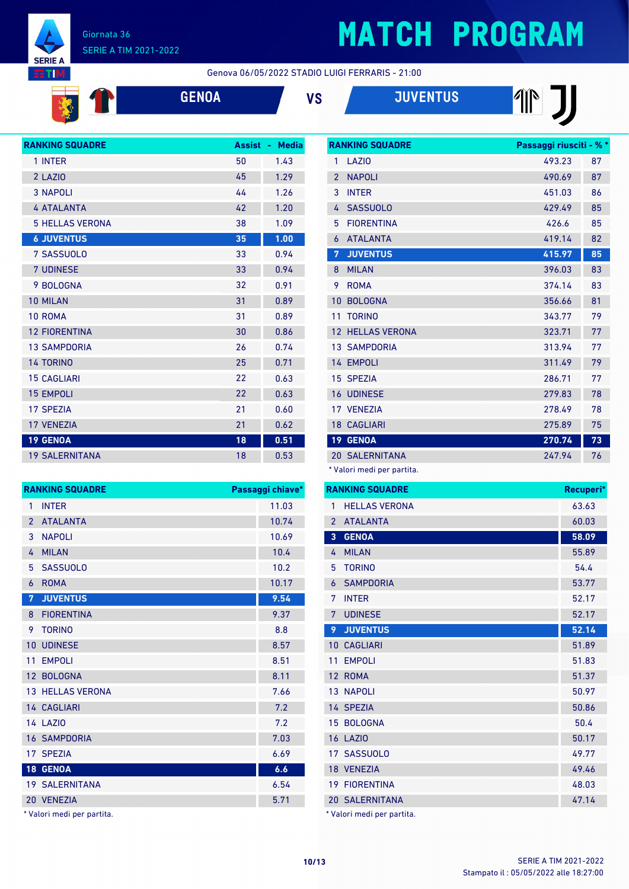

Ă

#### Giornata 36 SERIE A TIM 2021-2022

### **MATCH PROGRAM**

**THE THE** 

Genova 06/05/2022 STADIO LUIGI FERRARIS - 21:00

| <b>ENOA</b> |  |
|-------------|--|
|             |  |

| <b>GENOA</b> | ٧S | <b>JUVENTUS</b> |
|--------------|----|-----------------|
|              |    |                 |



|                 | <b>RANKING SQUADRE</b><br>Passaggi chiave* |       |
|-----------------|--------------------------------------------|-------|
| 1               | <b>INTER</b>                               | 11.03 |
| $\overline{2}$  | <b>ATALANTA</b>                            | 10.74 |
| 3               | <b>NAPOLI</b>                              | 10.69 |
| 4               | <b>MILAN</b>                               | 10.4  |
| 5               | <b>SASSUOLO</b>                            | 10.2  |
| 6               | <b>ROMA</b>                                | 10.17 |
| 7               | <b>JUVENTUS</b>                            | 9.54  |
| 8               | <b>FIORENTINA</b>                          | 9.37  |
| 9               | <b>TORINO</b>                              | 8.8   |
| 10 <sup>°</sup> | <b>UDINESE</b>                             | 8.57  |
| 11              | <b>EMPOLI</b>                              | 8.51  |
|                 | 12 BOLOGNA                                 | 8.11  |
|                 | <b>13 HELLAS VERONA</b>                    | 7.66  |
|                 | 14 CAGLIARI                                | 7.2   |
|                 | 14 LAZIO                                   | 7.2   |
|                 | <b>16 SAMPDORIA</b>                        | 7.03  |
|                 | 17 SPEZIA                                  | 6.69  |
|                 | 18 GENOA                                   | 6.6   |
|                 | <b>19 SALERNITANA</b>                      | 6.54  |
|                 | 20 VENEZIA                                 | 5.71  |

Valori medi per partita.

|                          | <b>RANKING SQUADRE</b> | Passaggi riusciti - % * |    |
|--------------------------|------------------------|-------------------------|----|
| 1                        | LAZI <sub>0</sub>      | 493.23                  | 87 |
| $\overline{\phantom{a}}$ | <b>NAPOLI</b>          | 490.69                  | 87 |
| 3                        | <b>INTER</b>           | 451.03                  | 86 |
| 4                        | <b>SASSUOLO</b>        | 429.49                  | 85 |
| 5                        | <b>FIORFNTINA</b>      | 426.6                   | 85 |
| 6                        | <b>ATALANTA</b>        | 419.14                  | 82 |
| 7                        | <b>JUVENTUS</b>        | 415.97                  | 85 |
| 8                        | <b>MILAN</b>           | 396.03                  | 83 |
| 9                        | <b>ROMA</b>            | 374.14                  | 83 |
| 10                       | <b>BOLOGNA</b>         | 356.66                  | 81 |
| 11                       | <b>TORINO</b>          | 343.77                  | 79 |
| 12 <sup>7</sup>          | <b>HELLAS VERONA</b>   | 323.71                  | 77 |
|                          | <b>13 SAMPDORIA</b>    | 313.94                  | 77 |
|                          | 14 EMPOLI              | 311.49                  | 79 |
|                          | 15 SPEZIA              | 286.71                  | 77 |
|                          | <b>16 UDINESE</b>      | 279.83                  | 78 |
|                          | 17 VENEZIA             | 278.49                  | 78 |
|                          | <b>18 CAGLIARI</b>     | 275.89                  | 75 |
| 19 <sup>°</sup>          | <b>GENOA</b>           | 270.74                  | 73 |
| 20                       | <b>SALERNITANA</b>     | 247.94                  | 76 |

\* Valori medi per partita.

|                 | <b>RANKING SQUADRE</b>     | Recuperi* |
|-----------------|----------------------------|-----------|
| 1               | <b>HELLAS VERONA</b>       | 63.63     |
| $\overline{2}$  | <b>ATALANTA</b>            | 60.03     |
| $\overline{3}$  | <b>GENOA</b>               | 58.09     |
| 4               | <b>MILAN</b>               | 55.89     |
| 5               | <b>TORINO</b>              | 54.4      |
| 6               | <b>SAMPDORIA</b>           | 53.77     |
| 7               | <b>INTER</b>               | 52.17     |
| 7               | <b>UDINESE</b>             | 52.17     |
| 9               | <b>JUVENTUS</b>            | 52.14     |
| $10-1$          | <b>CAGLIARI</b>            | 51.89     |
| 11              | <b>EMPOLI</b>              | 51.83     |
| 12 <sup>2</sup> | <b>ROMA</b>                | 51.37     |
|                 | <b>13 NAPOLI</b>           | 50.97     |
|                 | 14 SPEZIA                  | 50.86     |
|                 | 15 BOLOGNA                 | 50.4      |
|                 | <b>16 LAZIO</b>            | 50.17     |
|                 | 17 SASSUOLO                | 49.77     |
|                 | 18 VENEZIA                 | 49.46     |
|                 | <b>19 FIORENTINA</b>       | 48.03     |
|                 | <b>20 SALERNITANA</b>      | 47.14     |
|                 | * Valori medi per partita. |           |

Stampato il : 05/05/2022 alle 18:27:00 **10/13** SERIE A TIM 2021-2022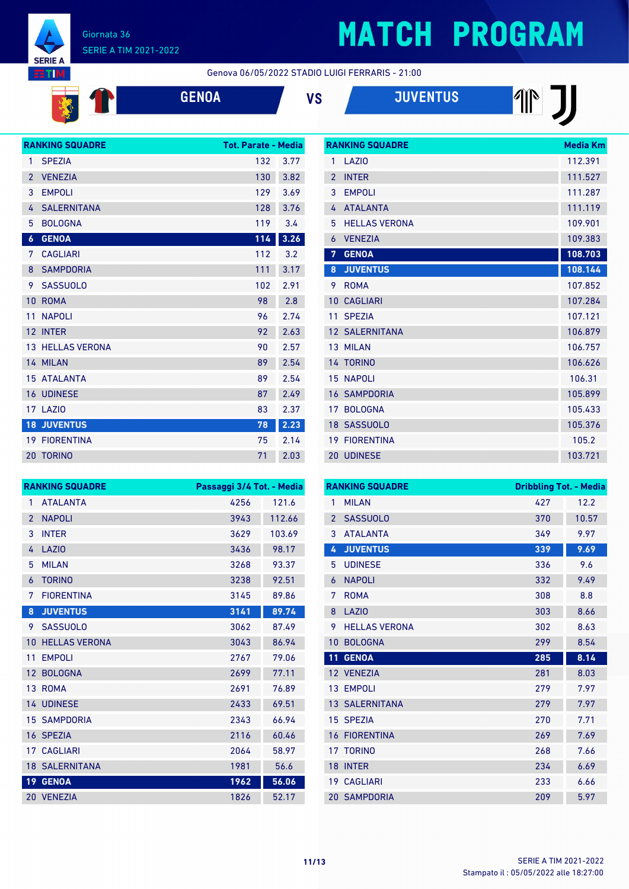

# **MATCH PROGRAM**

Genova 06/05/2022 STADIO LUIGI FERRARIS - 21:00

| A |  |  |  |
|---|--|--|--|
|   |  |  |  |

| <b>GENOA</b> | VS | <b>JUVENTUS</b> |
|--------------|----|-----------------|
|              |    |                 |



|                 | <b>RANKING SQUADRE</b> | <b>Media Km</b> |
|-----------------|------------------------|-----------------|
| 1               | LAZI <sub>0</sub>      | 112.391         |
| $\mathfrak{p}$  | <b>INTER</b>           | 111.527         |
| 3               | <b>EMPOLI</b>          | 111.287         |
| 4               | <b>ATALANTA</b>        | 111.119         |
| 5               | <b>HELLAS VERONA</b>   | 109.901         |
| 6               | <b>VENEZIA</b>         | 109.383         |
| 7               | <b>GENOA</b>           | 108.703         |
| 8               | <b>JUVENTUS</b>        | 108.144         |
| 9               | <b>ROMA</b>            | 107.852         |
| 10              | <b>CAGLIARI</b>        | 107.284         |
| 11              | <b>SPEZIA</b>          | 107.121         |
|                 | 12 SALERNITANA         | 106.879         |
|                 | 13 MILAN               | 106.757         |
|                 | 14 TORINO              | 106.626         |
| 15              | <b>NAPOLI</b>          | 106.31          |
| 16              | <b>SAMPDORIA</b>       | 105.899         |
| 17              | <b>BOLOGNA</b>         | 105.433         |
|                 | 18 SASSUOLO            | 105.376         |
| 19 <sup>°</sup> | <b>FIORENTINA</b>      | 105.2           |
|                 | 20 UDINESE             | 103.721         |

|                | <b>RANKING SQUADRE</b> | Passaggi 3/4 Tot. - Media |        |
|----------------|------------------------|---------------------------|--------|
| 1              | <b>ATALANTA</b>        | 4256                      | 121.6  |
| $\overline{2}$ | <b>NAPOLI</b>          | 3943                      | 112.66 |
| 3              | <b>INTER</b>           | 3629                      | 103.69 |
| 4              | <b>LAZIO</b>           | 3436                      | 98.17  |
| 5              | <b>MILAN</b>           | 3268                      | 93.37  |
| 6              | <b>TORINO</b>          | 3238                      | 92.51  |
| 7              | <b>FIORENTINA</b>      | 3145                      | 89.86  |
| 8              | <b>JUVENTUS</b>        | 3141                      | 89.74  |
| 9              | <b>SASSUOLO</b>        | 3062                      | 87.49  |
| 10             | <b>HELLAS VERONA</b>   | 3043                      | 86.94  |
| 11             | <b>EMPOLI</b>          | 2767                      | 79.06  |
| 12             | <b>BOLOGNA</b>         | 2699                      | 77.11  |
|                | 13 ROMA                | 2691                      | 76.89  |
|                | <b>14 UDINESE</b>      | 2433                      | 69.51  |
| 15             | <b>SAMPDORIA</b>       | 2343                      | 66.94  |
|                | 16 SPEZIA              | 2116                      | 60.46  |
| 17             | <b>CAGLIARI</b>        | 2064                      | 58.97  |
|                | <b>18 SALERNITANA</b>  | 1981                      | 56.6   |
| 19             | <b>GENOA</b>           | 1962                      | 56.06  |
| 20             | <b>VENEZIA</b>         | 1826                      | 52.17  |

| <b>RANKING SQUADRE</b> |                       |     | <b>Dribbling Tot. - Media</b> |  |
|------------------------|-----------------------|-----|-------------------------------|--|
| 1                      | <b>MILAN</b>          | 427 | 12.2                          |  |
| $\overline{2}$         | <b>SASSUOLO</b>       | 370 | 10.57                         |  |
| 3                      | <b>ATAI ANTA</b>      | 349 | 9.97                          |  |
| 4                      | <b>JUVENTUS</b>       | 339 | 9.69                          |  |
| 5                      | <b>UDINESE</b>        | 336 | 9.6                           |  |
| 6                      | <b>NAPOLI</b>         | 332 | 9.49                          |  |
| 7                      | <b>ROMA</b>           | 308 | 8.8                           |  |
| 8                      | LAZIO                 | 303 | 8.66                          |  |
| 9                      | <b>HELLAS VERONA</b>  | 302 | 8.63                          |  |
| 10                     | <b>BOLOGNA</b>        | 299 | 8.54                          |  |
| 11                     | <b>GENOA</b>          | 285 | 8.14                          |  |
|                        | 12 VENEZIA            | 281 | 8.03                          |  |
| 13                     | <b>EMPOLI</b>         | 279 | 7.97                          |  |
|                        | <b>13 SALERNITANA</b> | 279 | 7.97                          |  |
|                        | 15 SPEZIA             | 270 | 7.71                          |  |
| 16                     | <b>FIORENTINA</b>     | 269 | 7.69                          |  |
| 17                     | <b>TORINO</b>         | 268 | 7.66                          |  |
| 18                     | <b>INTER</b>          | 234 | 6.69                          |  |
| 19 <sup>°</sup>        | <b>CAGLIARI</b>       | 233 | 6.66                          |  |
|                        | <b>20 SAMPDORIA</b>   | 209 | 5.97                          |  |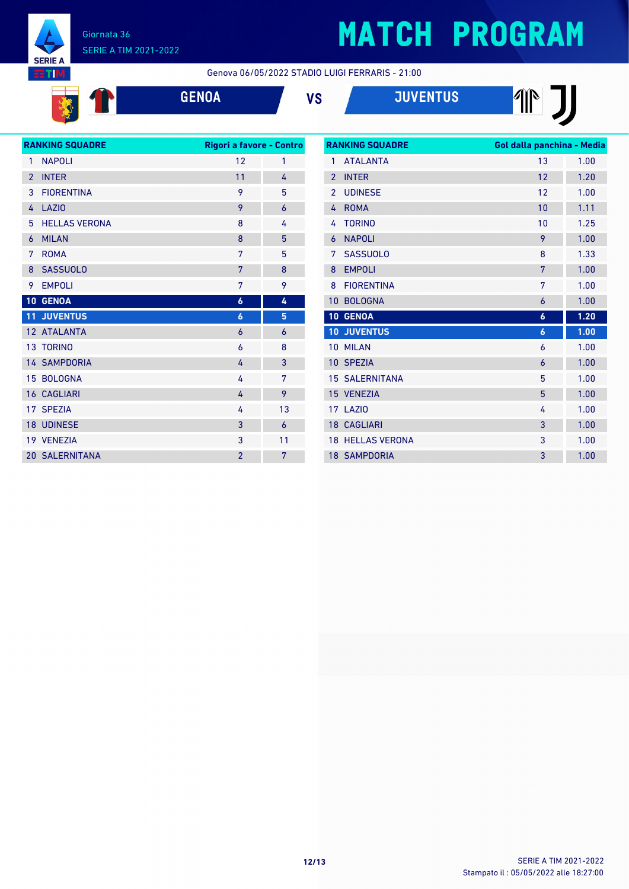

# **MATCH PROGRAM**

Genova 06/05/2022 STADIO LUIGI FERRARIS - 21:00





| <b>RANKING SQUADRE</b>   |                       | Rigori a favore - Contro |                |
|--------------------------|-----------------------|--------------------------|----------------|
| $\mathbf{1}$             | <b>NAPOLI</b>         | 12                       | 1              |
| $\overline{\phantom{a}}$ | <b>INTER</b>          | 11                       | 4              |
| 3                        | <b>FIORENTINA</b>     | 9                        | 5              |
| 4                        | LAZI <sub>0</sub>     | 9                        | 6              |
| 5                        | <b>HELLAS VERONA</b>  | 8                        | 4              |
| 6                        | <b>MILAN</b>          | 8                        | 5              |
| 7                        | <b>ROMA</b>           | 7                        | 5              |
| 8                        | <b>SASSUOLO</b>       | 7                        | 8              |
| 9                        | <b>EMPOLI</b>         | 7                        | 9              |
|                          | 10 GENOA              | $\boldsymbol{6}$         | 4              |
| 11 <sub>1</sub>          | <b>JUVENTUS</b>       | 6                        | 5              |
|                          | 12 ATALANTA           | 6                        | 6              |
|                          | 13 TORINO             | 6                        | 8              |
|                          | <b>14 SAMPDORIA</b>   | 4                        | 3              |
|                          | 15 BOLOGNA            | 4                        | 7              |
|                          | <b>16 CAGLIARI</b>    | 4                        | 9              |
|                          | 17 SPEZIA             | 4                        | 13             |
|                          | <b>18 UDINESE</b>     | 3                        | $\overline{6}$ |
|                          | 19 VENEZIA            | 3                        | 11             |
|                          | <b>20 SALERNITANA</b> | $\overline{2}$           | 7              |

| <b>RANKING SQUADRE</b> |                         | Gol dalla panchina - Media |      |  |
|------------------------|-------------------------|----------------------------|------|--|
| 1                      | <b>ATAI ANTA</b>        | 13                         | 1.00 |  |
| $\mathfrak{p}$         | <b>INTER</b>            | 12                         | 1.20 |  |
| $\overline{2}$         | <b>UDINESE</b>          | 12                         | 1.00 |  |
| 4                      | <b>ROMA</b>             | 10                         | 1.11 |  |
| 4                      | <b>TORINO</b>           | 10                         | 1.25 |  |
| 6                      | <b>NAPOLI</b>           | 9                          | 1.00 |  |
| 7                      | <b>SASSUOLO</b>         | 8                          | 1.33 |  |
| 8                      | <b>EMPOLI</b>           | 7                          | 1.00 |  |
| 8                      | <b>FIORFNTINA</b>       | 7                          | 1.00 |  |
| 10                     | <b>BOLOGNA</b>          | 6                          | 1.00 |  |
| 10                     | <b>GENOA</b>            | 6                          | 1.20 |  |
| 10                     | <b>JUVENTUS</b>         | $\boldsymbol{6}$           | 1.00 |  |
| 10                     | <b>MILAN</b>            | 6                          | 1.00 |  |
| 10 <sup>1</sup>        | <b>SPEZIA</b>           | 6                          | 1.00 |  |
|                        | <b>15 SALERNITANA</b>   | 5                          | 1.00 |  |
|                        | 15 VENEZIA              | 5                          | 1.00 |  |
| 17                     | LAZIO                   | 4                          | 1.00 |  |
| 18 <sup>°</sup>        | <b>CAGLIARI</b>         | 3                          | 1.00 |  |
|                        | <b>18 HELLAS VERONA</b> | 3                          | 1.00 |  |
|                        | <b>18 SAMPDORIA</b>     | 3                          | 1.00 |  |